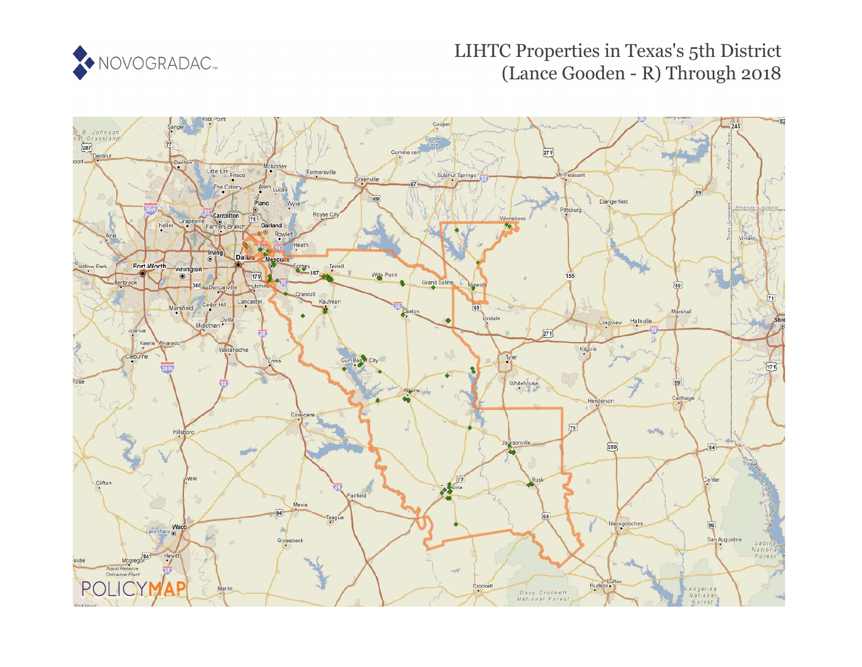

# LIHTC Properties in Texas's 5th District (Lance Gooden - R) Through 2018

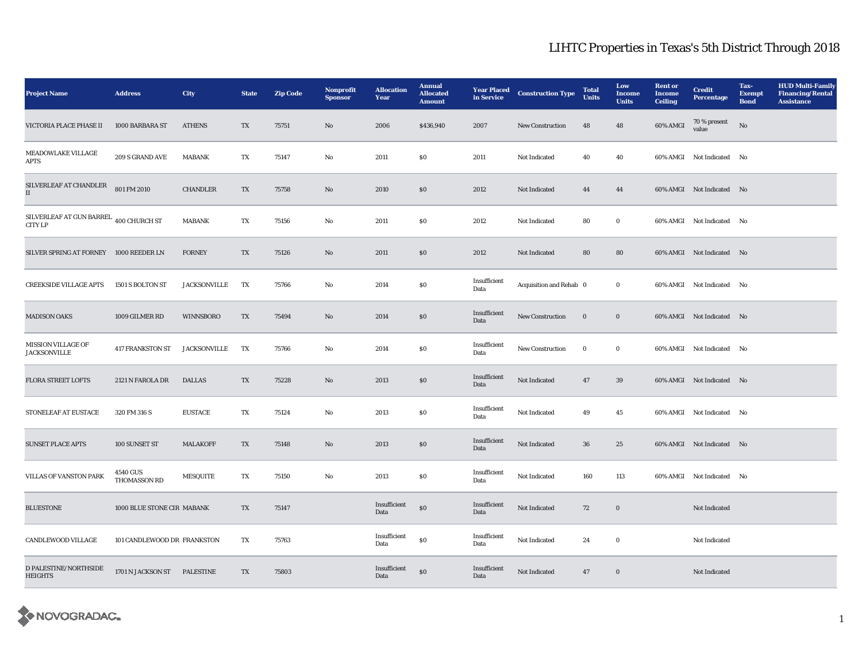| <b>Project Name</b>                               | <b>Address</b>                  | City                | <b>State</b>            | <b>Zip Code</b> | <b>Nonprofit</b><br><b>Sponsor</b> | <b>Allocation</b><br>Year | <b>Annual</b><br><b>Allocated</b><br><b>Amount</b> | <b>Year Placed</b><br>in Service | <b>Construction Type</b> | <b>Total</b><br><b>Units</b> | Low<br><b>Income</b><br><b>Units</b> | <b>Rent or</b><br><b>Income</b><br><b>Ceiling</b> | <b>Credit</b><br><b>Percentage</b> | Tax-<br><b>Exempt</b><br><b>Bond</b> | <b>HUD Multi-Family</b><br><b>Financing/Rental</b><br><b>Assistance</b> |
|---------------------------------------------------|---------------------------------|---------------------|-------------------------|-----------------|------------------------------------|---------------------------|----------------------------------------------------|----------------------------------|--------------------------|------------------------------|--------------------------------------|---------------------------------------------------|------------------------------------|--------------------------------------|-------------------------------------------------------------------------|
| VICTORIA PLACE PHASE II                           | 1000 BARBARA ST                 | <b>ATHENS</b>       | TX                      | 75751           | No                                 | 2006                      | \$436,940                                          | 2007                             | <b>New Construction</b>  | 48                           | 48                                   | 60% AMGI                                          | 70 % present<br>value              | No                                   |                                                                         |
| MEADOWLAKE VILLAGE<br><b>APTS</b>                 | 209 S GRAND AVE                 | <b>MABANK</b>       | TX                      | 75147           | No                                 | 2011                      | SO.                                                | 2011                             | Not Indicated            | 40                           | 40                                   |                                                   | 60% AMGI Not Indicated No          |                                      |                                                                         |
| SILVERLEAF AT CHANDLER<br>$\mathbf{I}$            | 801 FM 2010                     | <b>CHANDLER</b>     | $\mathbf{T}\mathbf{X}$  | 75758           | $\rm No$                           | 2010                      | $\$0$                                              | 2012                             | Not Indicated            | 44                           | 44                                   |                                                   | 60% AMGI Not Indicated No          |                                      |                                                                         |
| SILVERLEAF AT GUN BARREL 400 CHURCH ST<br>CITY LP |                                 | <b>MABANK</b>       | $\mathbf{T} \mathbf{X}$ | 75156           | $\rm\thinspace No$                 | 2011                      | $\$0$                                              | 2012                             | Not Indicated            | 80                           | $\bf{0}$                             |                                                   | 60% AMGI Not Indicated No          |                                      |                                                                         |
| SILVER SPRING AT FORNEY 1000 REEDER LN            |                                 | <b>FORNEY</b>       | TX                      | 75126           | $\mathbf{N}\mathbf{o}$             | 2011                      | $\$0$                                              | 2012                             | Not Indicated            | 80                           | ${\bf 80}$                           |                                                   | 60% AMGI Not Indicated No          |                                      |                                                                         |
| <b>CREEKSIDE VILLAGE APTS</b>                     | 1501 S BOLTON ST                | <b>JACKSONVILLE</b> | TX                      | 75766           | No                                 | 2014                      | $\$0$                                              | Insufficient<br>Data             | Acquisition and Rehab 0  |                              | $\bf{0}$                             |                                                   | 60% AMGI Not Indicated No          |                                      |                                                                         |
| <b>MADISON OAKS</b>                               | 1009 GILMER RD                  | <b>WINNSBORO</b>    | $\mathbf{T} \mathbf{X}$ | 75494           | $\mathbf{N}\mathbf{o}$             | 2014                      | \$0                                                | Insufficient<br>Data             | New Construction         | $\mathbf{0}$                 | $\mathbf{0}$                         |                                                   | 60% AMGI Not Indicated No          |                                      |                                                                         |
| <b>MISSION VILLAGE OF</b><br><b>JACKSONVILLE</b>  | <b>417 FRANKSTON ST</b>         | <b>JACKSONVILLE</b> | TX                      | 75766           | No                                 | 2014                      | \$0                                                | Insufficient<br>Data             | New Construction         | $\bf{0}$                     | $\bf{0}$                             |                                                   | 60% AMGI Not Indicated No          |                                      |                                                                         |
| <b>FLORA STREET LOFTS</b>                         | 2121 N FAROLA DR                | <b>DALLAS</b>       | TX                      | 75228           | No                                 | 2013                      | \$0                                                | Insufficient<br>Data             | Not Indicated            | 47                           | 39                                   |                                                   | 60% AMGI Not Indicated No          |                                      |                                                                         |
| STONELEAF AT EUSTACE                              | 320 FM 316 S                    | <b>EUSTACE</b>      | TX                      | 75124           | No                                 | 2013                      | \$0                                                | Insufficient<br>Data             | Not Indicated            | 49                           | 45                                   |                                                   | 60% AMGI Not Indicated No          |                                      |                                                                         |
| <b>SUNSET PLACE APTS</b>                          | 100 SUNSET ST                   | <b>MALAKOFF</b>     | TX                      | 75148           | $\mathbf{N}\mathbf{o}$             | 2013                      | \$0                                                | Insufficient<br>Data             | <b>Not Indicated</b>     | 36                           | 25                                   |                                                   | 60% AMGI Not Indicated No          |                                      |                                                                         |
| VILLAS OF VANSTON PARK                            | 4540 GUS<br><b>THOMASSON RD</b> | <b>MESQUITE</b>     | $\mathbf{T}\mathbf{X}$  | 75150           | No                                 | 2013                      | $\$0$                                              | Insufficient<br>Data             | Not Indicated            | 160                          | 113                                  |                                                   | 60% AMGI Not Indicated No          |                                      |                                                                         |
| <b>BLUESTONE</b>                                  | 1000 BLUE STONE CIR MABANK      |                     | $\mathbf{T}\mathbf{X}$  | 75147           |                                    | Insufficient<br>Data      | $\$0$                                              | Insufficient<br>Data             | Not Indicated            | 72                           | $\boldsymbol{0}$                     |                                                   | Not Indicated                      |                                      |                                                                         |
| CANDLEWOOD VILLAGE                                | 101 CANDLEWOOD DR FRANKSTON     |                     | TX                      | 75763           |                                    | Insufficient<br>Data      | $\$0$                                              | Insufficient<br>Data             | Not Indicated            | 24                           | $\bf{0}$                             |                                                   | Not Indicated                      |                                      |                                                                         |
| D PALESTINE/NORTHSIDE<br><b>HEIGHTS</b>           | 1701 N JACKSON ST               | <b>PALESTINE</b>    | TX                      | 75803           |                                    | Insufficient<br>Data      | $\$0$                                              | Insufficient<br>Data             | Not Indicated            | 47                           | $\Omega$                             |                                                   | Not Indicated                      |                                      |                                                                         |

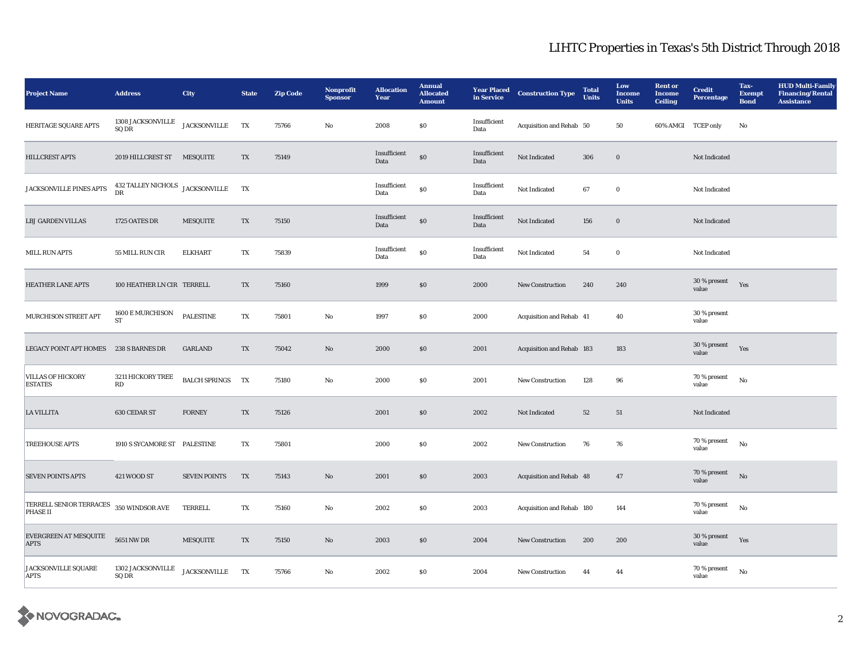| <b>Project Name</b>                                        | <b>Address</b>                                 | <b>City</b>          | <b>State</b>            | <b>Zip Code</b> | Nonprofit<br><b>Sponsor</b> | <b>Allocation</b><br>Year | <b>Annual</b><br><b>Allocated</b><br><b>Amount</b> | <b>Year Placed</b><br>in Service | <b>Construction Type</b>  | <b>Total</b><br><b>Units</b> | Low<br><b>Income</b><br><b>Units</b> | <b>Rent</b> or<br><b>Income</b><br><b>Ceiling</b> | <b>Credit</b><br><b>Percentage</b> | Tax-<br><b>Exempt</b><br><b>Bond</b> | <b>HUD Multi-Family</b><br><b>Financing/Rental</b><br>Assistance |
|------------------------------------------------------------|------------------------------------------------|----------------------|-------------------------|-----------------|-----------------------------|---------------------------|----------------------------------------------------|----------------------------------|---------------------------|------------------------------|--------------------------------------|---------------------------------------------------|------------------------------------|--------------------------------------|------------------------------------------------------------------|
| HERITAGE SQUARE APTS                                       | 1308 JACKSONVILLE<br>SQ DR                     | <b>JACKSONVILLE</b>  | TX                      | 75766           | $\rm No$                    | 2008                      | $\$0$                                              | Insufficient<br>Data             | Acquisition and Rehab 50  |                              | 50                                   | 60% AMGI TCEP only                                |                                    | No                                   |                                                                  |
| <b>HILLCREST APTS</b>                                      | 2019 HILLCREST ST MESQUITE                     |                      | TX                      | 75149           |                             | Insufficient<br>Data      | ${\bf S0}$                                         | Insufficient<br>Data             | Not Indicated             | 306                          | $\boldsymbol{0}$                     |                                                   | Not Indicated                      |                                      |                                                                  |
| JACKSONVILLE PINES APTS                                    | 432 TALLEY NICHOLS JACKSONVILLE<br>$_{\rm DR}$ |                      | TX                      |                 |                             | Insufficient<br>Data      | \$0                                                | Insufficient<br>Data             | Not Indicated             | 67                           | $\mathbf 0$                          |                                                   | Not Indicated                      |                                      |                                                                  |
| <b>LBJ GARDEN VILLAS</b>                                   | 1725 OATES DR                                  | <b>MESQUITE</b>      | TX                      | 75150           |                             | Insufficient<br>Data      | $\$0$                                              | Insufficient<br>Data             | Not Indicated             | 156                          | $\bf{0}$                             |                                                   | Not Indicated                      |                                      |                                                                  |
| <b>MILL RUN APTS</b>                                       | 55 MILL RUN CIR                                | <b>ELKHART</b>       | TX                      | 75839           |                             | Insufficient<br>Data      | $\$0$                                              | Insufficient<br>Data             | Not Indicated             | 54                           | $\bf{0}$                             |                                                   | Not Indicated                      |                                      |                                                                  |
| <b>HEATHER LANE APTS</b>                                   | 100 HEATHER LN CIR TERRELL                     |                      | TX                      | 75160           |                             | 1999                      | $\$0$                                              | 2000                             | New Construction          | 240                          | 240                                  |                                                   | 30 % present<br>value              | Yes                                  |                                                                  |
| MURCHISON STREET APT                                       | 1600 E MURCHISON<br>${\rm ST}$                 | <b>PALESTINE</b>     | $\mathbf{T} \mathbf{X}$ | 75801           | $\rm No$                    | 1997                      | \$0                                                | 2000                             | Acquisition and Rehab 41  |                              | 40                                   |                                                   | 30 % present<br>value              |                                      |                                                                  |
| <b>LEGACY POINT APT HOMES</b>                              | 238 S BARNES DR                                | <b>GARLAND</b>       | TX                      | 75042           | No                          | 2000                      | $\$0$                                              | 2001                             | Acquisition and Rehab 183 |                              | 183                                  |                                                   | $30\,\%$ present<br>value          | Yes                                  |                                                                  |
| <b>VILLAS OF HICKORY</b><br><b>ESTATES</b>                 | 3211 HICKORY TREE<br>RD                        | <b>BALCH SPRINGS</b> | TX                      | 75180           | No                          | 2000                      | \$0                                                | 2001                             | New Construction          | 128                          | 96                                   |                                                   | 70 % present<br>value              | $\mathbf{N}\mathbf{o}$               |                                                                  |
| <b>LA VILLITA</b>                                          | <b>630 CEDAR ST</b>                            | <b>FORNEY</b>        | TX                      | 75126           |                             | 2001                      | $\$0$                                              | 2002                             | Not Indicated             | 52                           | 51                                   |                                                   | Not Indicated                      |                                      |                                                                  |
| <b>TREEHOUSE APTS</b>                                      | 1910 S SYCAMORE ST PALESTINE                   |                      | TX                      | 75801           |                             | 2000                      | $\$0$                                              | 2002                             | New Construction          | 76                           | 76                                   |                                                   | 70 % present<br>value              | No                                   |                                                                  |
| <b>SEVEN POINTS APTS</b>                                   | 421 WOOD ST                                    | <b>SEVEN POINTS</b>  | TX                      | 75143           | No                          | 2001                      | \$0                                                | 2003                             | Acquisition and Rehab 48  |                              | 47                                   |                                                   | 70 % present<br>value              | $\mathbf{N}\mathbf{o}$               |                                                                  |
| TERRELL SENIOR TERRACES 350 WINDSOR AVE<br><b>PHASE II</b> |                                                | <b>TERRELL</b>       | TX                      | 75160           | No                          | 2002                      | \$0                                                | 2003                             | Acquisition and Rehab 180 |                              | 144                                  |                                                   | 70 % present<br>value              | No                                   |                                                                  |
| EVERGREEN AT MESQUITE<br><b>APTS</b>                       | <b>5651 NW DR</b>                              | <b>MESQUITE</b>      | TX                      | 75150           | No                          | 2003                      | $\$0$                                              | 2004                             | New Construction          | 200                          | 200                                  |                                                   | 30 % present<br>value              | Yes                                  |                                                                  |
| <b>JACKSONVILLE SQUARE</b><br><b>APTS</b>                  | 1302 JACKSONVILLE<br>SQ DR                     | JACKSONVILLE TX      |                         | 75766           | $\rm No$                    | 2002                      | \$0                                                | 2004                             | New Construction          | 44                           | 44                                   |                                                   | 70 % present<br>value              | No                                   |                                                                  |

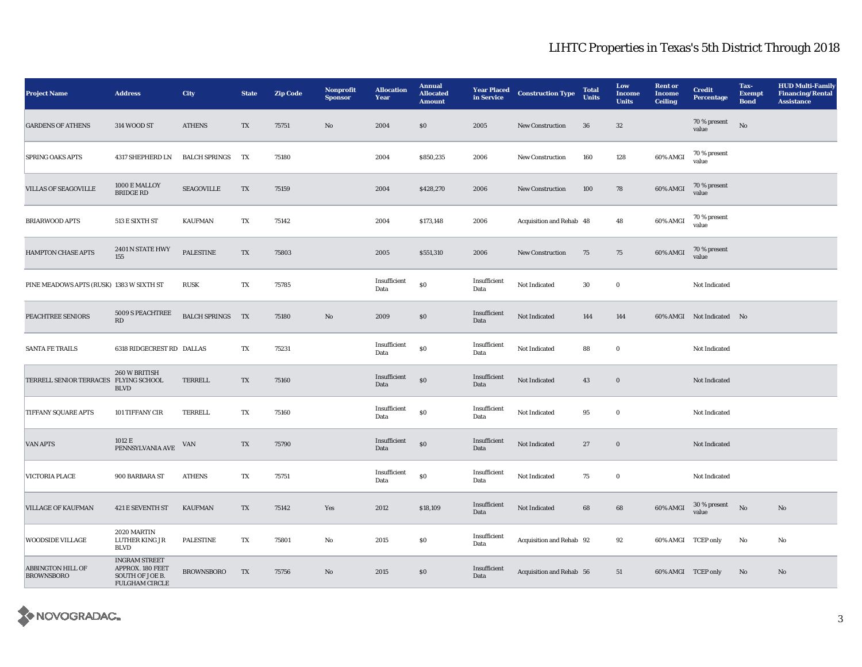| <b>Project Name</b>                           | <b>Address</b>                                                                       | <b>City</b>               | <b>State</b>           | <b>Zip Code</b> | Nonprofit<br><b>Sponsor</b> | <b>Allocation</b><br>Year | <b>Annual</b><br><b>Allocated</b><br><b>Amount</b> | <b>Year Placed</b><br>in Service | <b>Construction Type</b> | <b>Total</b><br><b>Units</b> | Low<br><b>Income</b><br><b>Units</b> | <b>Rent</b> or<br><b>Income</b><br><b>Ceiling</b> | <b>Credit</b><br>Percentage | Tax-<br><b>Exempt</b><br><b>Bond</b> | <b>HUD Multi-Family</b><br><b>Financing/Rental</b><br><b>Assistance</b> |
|-----------------------------------------------|--------------------------------------------------------------------------------------|---------------------------|------------------------|-----------------|-----------------------------|---------------------------|----------------------------------------------------|----------------------------------|--------------------------|------------------------------|--------------------------------------|---------------------------------------------------|-----------------------------|--------------------------------------|-------------------------------------------------------------------------|
| <b>GARDENS OF ATHENS</b>                      | 314 WOOD ST                                                                          | <b>ATHENS</b>             | TX                     | 75751           | $\rm No$                    | 2004                      | \$0                                                | 2005                             | New Construction         | 36                           | 32                                   |                                                   | 70 % present<br>value       | $\mathbf{N}\mathbf{o}$               |                                                                         |
| <b>SPRING OAKS APTS</b>                       | 4317 SHEPHERD LN                                                                     | <b>BALCH SPRINGS</b>      | TX                     | 75180           |                             | 2004                      | \$850,235                                          | 2006                             | New Construction         | 160                          | 128                                  | 60% AMGI                                          | 70 % present<br>value       |                                      |                                                                         |
| <b>VILLAS OF SEAGOVILLE</b>                   | 1000 E MALLOY<br><b>BRIDGE RD</b>                                                    | <b>SEAGOVILLE</b>         | TX                     | 75159           |                             | 2004                      | \$428,270                                          | 2006                             | New Construction         | 100                          | 78                                   | 60% AMGI                                          | 70 % present<br>value       |                                      |                                                                         |
| <b>BRIARWOOD APTS</b>                         | 513 E SIXTH ST                                                                       | <b>KAUFMAN</b>            | TX                     | 75142           |                             | 2004                      | \$173,148                                          | 2006                             | Acquisition and Rehab 48 |                              | 48                                   | 60% AMGI                                          | 70 % present<br>value       |                                      |                                                                         |
| <b>HAMPTON CHASE APTS</b>                     | 2401 N STATE HWY<br>155                                                              | <b>PALESTINE</b>          | TX                     | 75803           |                             | 2005                      | \$551,310                                          | 2006                             | <b>New Construction</b>  | 75                           | 75                                   | 60% AMGI                                          | 70 % present<br>value       |                                      |                                                                         |
| PINE MEADOWS APTS (RUSK) 1383 W SIXTH ST      |                                                                                      | <b>RUSK</b>               | TX                     | 75785           |                             | Insufficient<br>Data      | $\$0$                                              | Insufficient<br>Data             | Not Indicated            | 30                           | $\bf{0}$                             |                                                   | Not Indicated               |                                      |                                                                         |
| PEACHTREE SENIORS                             | 5009 S PEACHTREE<br>$\mathbf{R}\mathbf{D}$                                           | BALCH SPRINGS TX          |                        | 75180           | No                          | 2009                      | $\$0$                                              | Insufficient<br>Data             | Not Indicated            | 144                          | 144                                  |                                                   | 60% AMGI Not Indicated No   |                                      |                                                                         |
| <b>SANTA FE TRAILS</b>                        | 6318 RIDGECREST RD DALLAS                                                            |                           | TX                     | 75231           |                             | Insufficient<br>Data      | $\$0$                                              | Insufficient<br>Data             | Not Indicated            | 88                           | $\bf{0}$                             |                                                   | Not Indicated               |                                      |                                                                         |
| TERRELL SENIOR TERRACES FLYING SCHOOL         | 260 W BRITISH<br><b>BLVD</b>                                                         | TERRELL                   | TX                     | 75160           |                             | Insufficient<br>Data      | $\$0$                                              | Insufficient<br>Data             | Not Indicated            | 43                           | $\mathbf 0$                          |                                                   | Not Indicated               |                                      |                                                                         |
| <b>TIFFANY SQUARE APTS</b>                    | 101 TIFFANY CIR                                                                      | <b>TERRELL</b>            | TX                     | 75160           |                             | Insufficient<br>Data      | \$0                                                | Insufficient<br>Data             | Not Indicated            | 95                           | $\bf{0}$                             |                                                   | Not Indicated               |                                      |                                                                         |
| <b>VAN APTS</b>                               | 1012 E<br>PENNSYLVANIA AVE                                                           | $\ensuremath{\text{VAN}}$ | TX                     | 75790           |                             | Insufficient<br>Data      | $\$0$                                              | Insufficient<br>Data             | Not Indicated            | $27\,$                       | $\bf{0}$                             |                                                   | Not Indicated               |                                      |                                                                         |
| <b>VICTORIA PLACE</b>                         | 900 BARBARA ST                                                                       | <b>ATHENS</b>             | $\mathbf{T}\mathbf{X}$ | 75751           |                             | Insufficient<br>Data      | $\$0$                                              | Insufficient<br>Data             | Not Indicated            | 75                           | $\bf{0}$                             |                                                   | Not Indicated               |                                      |                                                                         |
| <b>VILLAGE OF KAUFMAN</b>                     | 421 E SEVENTH ST                                                                     | <b>KAUFMAN</b>            | TX                     | 75142           | Yes                         | 2012                      | \$18,109                                           | Insufficient<br>Data             | Not Indicated            | 68                           | 68                                   | 60% AMGI                                          | $30\,\%$ present<br>value   | No                                   | $\rm\thinspace No$                                                      |
| <b>WOODSIDE VILLAGE</b>                       | 2020 MARTIN<br><b>LUTHER KING JR</b><br><b>BLVD</b>                                  | <b>PALESTINE</b>          | TX                     | 75801           | No                          | 2015                      | \$0                                                | Insufficient<br>Data             | Acquisition and Rehab 92 |                              | 92                                   |                                                   | 60% AMGI TCEP only          | No                                   | No                                                                      |
| <b>ABBINGTON HILL OF</b><br><b>BROWNSBORO</b> | <b>INGRAM STREET</b><br>APPROX. 180 FEET<br>SOUTH OF JOE B.<br><b>FULGHAM CIRCLE</b> | <b>BROWNSBORO</b>         | TX                     | 75756           | No                          | 2015                      | \$0                                                | Insufficient<br>Data             | Acquisition and Rehab 56 |                              | 51                                   |                                                   | 60% AMGI TCEP only          | No                                   | No                                                                      |

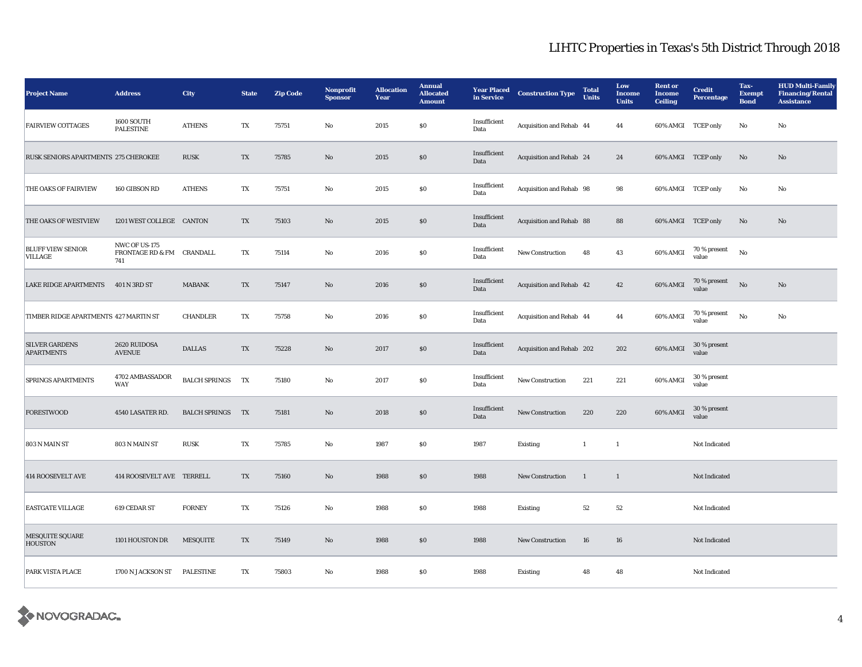| <b>Project Name</b>                        | <b>Address</b>                                    | <b>City</b>          | <b>State</b>           | <b>Zip Code</b> | Nonprofit<br><b>Sponsor</b> | <b>Allocation</b><br>Year | <b>Annual</b><br><b>Allocated</b><br><b>Amount</b> | <b>Year Placed</b><br>in Service | <b>Construction Type</b>  | <b>Total</b><br><b>Units</b> | Low<br><b>Income</b><br><b>Units</b> | <b>Rent or</b><br>Income<br><b>Ceiling</b> | <b>Credit</b><br><b>Percentage</b> | Tax-<br><b>Exempt</b><br><b>Bond</b> | <b>HUD Multi-Family</b><br><b>Financing/Rental</b><br><b>Assistance</b> |
|--------------------------------------------|---------------------------------------------------|----------------------|------------------------|-----------------|-----------------------------|---------------------------|----------------------------------------------------|----------------------------------|---------------------------|------------------------------|--------------------------------------|--------------------------------------------|------------------------------------|--------------------------------------|-------------------------------------------------------------------------|
| <b>FAIRVIEW COTTAGES</b>                   | 1600 SOUTH<br><b>PALESTINE</b>                    | <b>ATHENS</b>        | TX                     | 75751           | $\rm No$                    | 2015                      | $\$0$                                              | Insufficient<br>Data             | Acquisition and Rehab 44  |                              | 44                                   | 60% AMGI TCEP only                         |                                    | $\rm\thinspace No$                   | $\mathbf {No}$                                                          |
| RUSK SENIORS APARTMENTS 275 CHEROKEE       |                                                   | <b>RUSK</b>          | TX                     | 75785           | $\mathbf{N}\mathbf{o}$      | 2015                      | \$0                                                | Insufficient<br>Data             | Acquisition and Rehab 24  |                              | 24                                   | 60% AMGI TCEP only                         |                                    | No                                   | No                                                                      |
| THE OAKS OF FAIRVIEW                       | 160 GIBSON RD                                     | <b>ATHENS</b>        | TX                     | 75751           | $\rm\thinspace No$          | 2015                      | \$0                                                | Insufficient<br>Data             | Acquisition and Rehab 98  |                              | 98                                   | 60% AMGI TCEP only                         |                                    | $\rm\thinspace No$                   | No                                                                      |
| THE OAKS OF WESTVIEW                       | 1201 WEST COLLEGE CANTON                          |                      | TX                     | 75103           | No                          | 2015                      | \$0                                                | Insufficient<br>Data             | Acquisition and Rehab 88  |                              | 88                                   | 60% AMGI TCEP only                         |                                    | No                                   | No                                                                      |
| <b>BLUFF VIEW SENIOR</b><br><b>VILLAGE</b> | NWC OF US-175<br>FRONTAGE RD & FM CRANDALL<br>741 |                      | TX                     | 75114           | No                          | 2016                      | \$0                                                | Insufficient<br>Data             | New Construction          | 48                           | 43                                   | 60% AMGI                                   | 70 % present<br>value              | $\mathbf{N}\mathbf{o}$               |                                                                         |
| <b>LAKE RIDGE APARTMENTS</b>               | 401 N 3RD ST                                      | <b>MABANK</b>        | TX                     | 75147           | No                          | 2016                      | \$0                                                | Insufficient<br>Data             | Acquisition and Rehab 42  |                              | 42                                   | 60% AMGI                                   | 70 % present<br>value              | No                                   | No                                                                      |
| TIMBER RIDGE APARTMENTS 427 MARTIN ST      |                                                   | <b>CHANDLER</b>      | TX                     | 75758           | No                          | 2016                      | $\$0$                                              | Insufficient<br>Data             | Acquisition and Rehab 44  |                              | 44                                   | 60% AMGI                                   | 70 % present<br>value              | $\mathbf{N}\mathbf{o}$               | $\mathbf {No}$                                                          |
| <b>SILVER GARDENS</b><br><b>APARTMENTS</b> | 2620 RUIDOSA<br><b>AVENUE</b>                     | <b>DALLAS</b>        | TX                     | 75228           | No                          | 2017                      | \$0                                                | Insufficient<br>Data             | Acquisition and Rehab 202 |                              | 202                                  | 60% AMGI                                   | 30 % present<br>value              |                                      |                                                                         |
| <b>SPRINGS APARTMENTS</b>                  | 4702 AMBASSADOR<br>WAY                            | <b>BALCH SPRINGS</b> | TX                     | 75180           | $\rm No$                    | 2017                      | \$0                                                | Insufficient<br>Data             | New Construction          | 221                          | 221                                  | 60% AMGI                                   | 30 % present<br>value              |                                      |                                                                         |
| <b>FORESTWOOD</b>                          | 4540 LASATER RD.                                  | <b>BALCH SPRINGS</b> | <b>TX</b>              | 75181           | No                          | 2018                      | $\$0$                                              | Insufficient<br>Data             | New Construction          | 220                          | 220                                  | 60% AMGI                                   | 30 % present<br>value              |                                      |                                                                         |
| 803 N MAIN ST                              | 803 N MAIN ST                                     | <b>RUSK</b>          | $\mathbf{T}\mathbf{X}$ | 75785           | $\mathbf {No}$              | 1987                      | $\$0$                                              | 1987                             | Existing                  | $\mathbf{1}$                 | $\mathbf{1}$                         |                                            | Not Indicated                      |                                      |                                                                         |
| 414 ROOSEVELT AVE                          | 414 ROOSEVELT AVE TERRELL                         |                      | TX                     | 75160           | No                          | 1988                      | $\$0$                                              | 1988                             | New Construction          | $\mathbf{1}$                 | $\mathbf{1}$                         |                                            | Not Indicated                      |                                      |                                                                         |
| <b>EASTGATE VILLAGE</b>                    | 619 CEDAR ST                                      | <b>FORNEY</b>        | TX                     | 75126           | $\rm No$                    | 1988                      | $\$0$                                              | 1988                             | Existing                  | 52                           | 52                                   |                                            | Not Indicated                      |                                      |                                                                         |
| MESQUITE SQUARE<br><b>HOUSTON</b>          | 1101 HOUSTON DR                                   | <b>MESQUITE</b>      | TX                     | 75149           | No                          | 1988                      | \$0                                                | 1988                             | New Construction          | 16                           | 16                                   |                                            | Not Indicated                      |                                      |                                                                         |
| <b>PARK VISTA PLACE</b>                    | 1700 N JACKSON ST                                 | <b>PALESTINE</b>     | TX                     | 75803           | No                          | 1988                      | \$0                                                | 1988                             | Existing                  | 48                           | 48                                   |                                            | Not Indicated                      |                                      |                                                                         |

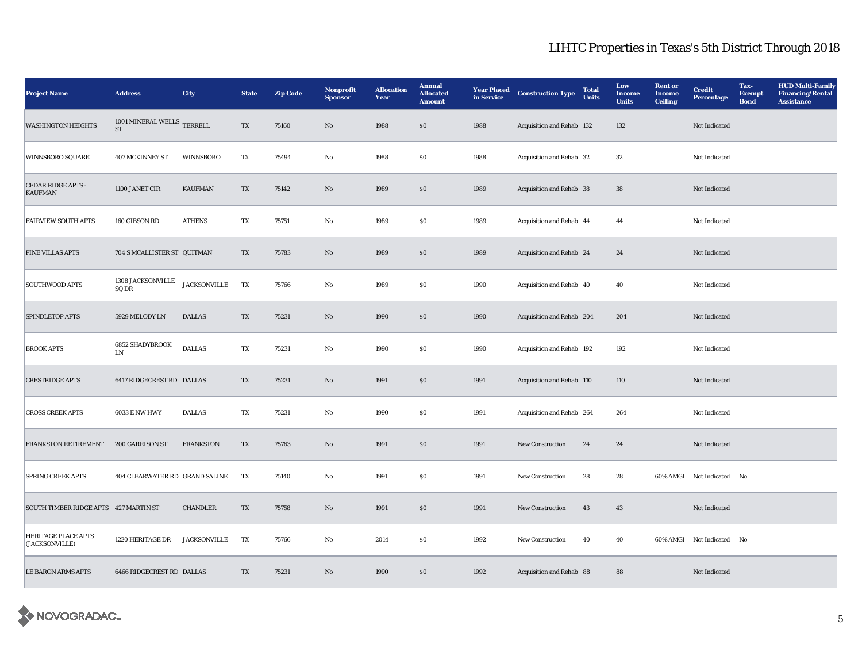| <b>Project Name</b>                         | <b>Address</b>                                    | <b>City</b>         | <b>State</b>            | <b>Zip Code</b> | Nonprofit<br><b>Sponsor</b> | <b>Allocation</b><br><b>Year</b> | <b>Annual</b><br><b>Allocated</b><br><b>Amount</b> | <b>Year Placed</b><br>in Service | <b>Construction Type</b>  | <b>Total</b><br><b>Units</b> | Low<br><b>Income</b><br><b>Units</b> | <b>Rent or</b><br><b>Income</b><br><b>Ceiling</b> | <b>Credit</b><br><b>Percentage</b> | Tax-<br><b>Exempt</b><br><b>Bond</b> | <b>HUD Multi-Family</b><br><b>Financing/Rental</b><br><b>Assistance</b> |
|---------------------------------------------|---------------------------------------------------|---------------------|-------------------------|-----------------|-----------------------------|----------------------------------|----------------------------------------------------|----------------------------------|---------------------------|------------------------------|--------------------------------------|---------------------------------------------------|------------------------------------|--------------------------------------|-------------------------------------------------------------------------|
| <b>WASHINGTON HEIGHTS</b>                   | 1001 MINERAL WELLS TERRELL<br>$\operatorname{ST}$ |                     | TX                      | 75160           | $\mathbf{No}$               | 1988                             | \$0                                                | 1988                             | Acquisition and Rehab 132 |                              | 132                                  |                                                   | Not Indicated                      |                                      |                                                                         |
| <b>WINNSBORO SQUARE</b>                     | <b>407 MCKINNEY ST</b>                            | <b>WINNSBORO</b>    | TX                      | 75494           | No                          | 1988                             | \$0                                                | 1988                             | Acquisition and Rehab 32  |                              | 32                                   |                                                   | Not Indicated                      |                                      |                                                                         |
| <b>CEDAR RIDGE APTS -</b><br><b>KAUFMAN</b> | 1100 JANET CIR                                    | <b>KAUFMAN</b>      | TX                      | 75142           | No                          | 1989                             | \$0                                                | 1989                             | Acquisition and Rehab 38  |                              | 38                                   |                                                   | Not Indicated                      |                                      |                                                                         |
| <b>FAIRVIEW SOUTH APTS</b>                  | 160 GIBSON RD                                     | <b>ATHENS</b>       | TX                      | 75751           | $\rm\thinspace No$          | 1989                             | <b>SO</b>                                          | 1989                             | Acquisition and Rehab 44  |                              | 44                                   |                                                   | Not Indicated                      |                                      |                                                                         |
| <b>PINE VILLAS APTS</b>                     | 704 S MCALLISTER ST QUITMAN                       |                     | TX                      | 75783           | No                          | 1989                             | \$0                                                | 1989                             | Acquisition and Rehab 24  |                              | 24                                   |                                                   | Not Indicated                      |                                      |                                                                         |
| <b>SOUTHWOOD APTS</b>                       | 1308 JACKSONVILLE<br>SQ DR                        | <b>JACKSONVILLE</b> | TX                      | 75766           | $\mathbf{No}$               | 1989                             | $\$0$                                              | 1990                             | Acquisition and Rehab 40  |                              | 40                                   |                                                   | Not Indicated                      |                                      |                                                                         |
| SPINDLETOP APTS                             | 5929 MELODY LN                                    | <b>DALLAS</b>       | $\mathbf{T}\mathbf{X}$  | 75231           | No                          | 1990                             | \$0                                                | 1990                             | Acquisition and Rehab 204 |                              | 204                                  |                                                   | Not Indicated                      |                                      |                                                                         |
| <b>BROOK APTS</b>                           | <b>6852 SHADYBROOK</b><br>LN                      | <b>DALLAS</b>       | TX                      | 75231           | No                          | 1990                             | \$0                                                | 1990                             | Acquisition and Rehab 192 |                              | 192                                  |                                                   | Not Indicated                      |                                      |                                                                         |
| <b>CRESTRIDGE APTS</b>                      | 6417 RIDGECREST RD DALLAS                         |                     | $\mathbf{T} \mathbf{X}$ | 75231           | $\rm No$                    | 1991                             | \$0                                                | 1991                             | Acquisition and Rehab 110 |                              | 110                                  |                                                   | Not Indicated                      |                                      |                                                                         |
| <b>CROSS CREEK APTS</b>                     | <b>6033 E NW HWY</b>                              | <b>DALLAS</b>       | TX                      | 75231           | $\rm No$                    | 1990                             | <b>SO</b>                                          | 1991                             | Acquisition and Rehab 264 |                              | 264                                  |                                                   | Not Indicated                      |                                      |                                                                         |
| <b>FRANKSTON RETIREMENT</b>                 | <b>200 GARRISON ST</b>                            | <b>FRANKSTON</b>    | TX                      | 75763           | No                          | 1991                             | \$0                                                | 1991                             | <b>New Construction</b>   | 24                           | 24                                   |                                                   | Not Indicated                      |                                      |                                                                         |
| <b>SPRING CREEK APTS</b>                    | 404 CLEARWATER RD GRAND SALINE                    |                     | TX                      | 75140           | $\mathbf{No}$               | 1991                             | S <sub>0</sub>                                     | 1991                             | New Construction          | 28                           | 28                                   |                                                   | 60% AMGI Not Indicated No          |                                      |                                                                         |
| SOUTH TIMBER RIDGE APTS 427 MARTIN ST       |                                                   | <b>CHANDLER</b>     | TX                      | 75758           | No                          | 1991                             | \$0                                                | 1991                             | <b>New Construction</b>   | 43                           | 43                                   |                                                   | Not Indicated                      |                                      |                                                                         |
| HERITAGE PLACE APTS<br>(JACKSONVILLE)       | 1220 HERITAGE DR                                  | <b>JACKSONVILLE</b> | TX                      | 75766           | No                          | 2014                             | \$0                                                | 1992                             | <b>New Construction</b>   | 40                           | 40                                   |                                                   | 60% AMGI Not Indicated No          |                                      |                                                                         |
| <b>LE BARON ARMS APTS</b>                   | 6466 RIDGECREST RD DALLAS                         |                     | TX                      | 75231           | $\mathbf{No}$               | 1990                             | \$0                                                | 1992                             | Acquisition and Rehab 88  |                              | 88                                   |                                                   | Not Indicated                      |                                      |                                                                         |

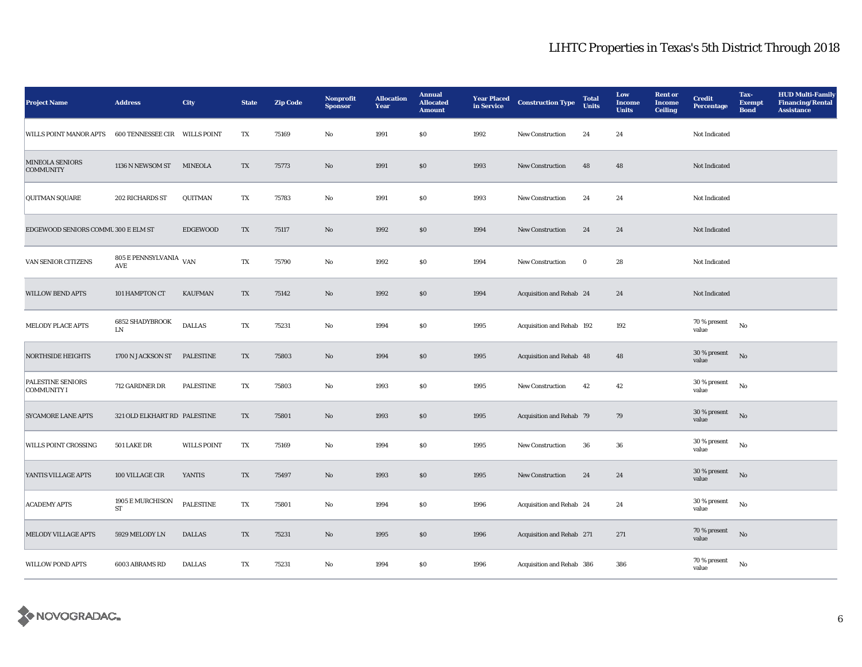| <b>Project Name</b>                        | <b>Address</b>                                      | City               | <b>State</b> | Zip Code | Nonprofit<br><b>Sponsor</b> | <b>Allocation</b><br>Year | <b>Annual</b><br><b>Allocated</b><br><b>Amount</b> | <b>Year Placed</b><br>in Service | <b>Construction Type</b>  | <b>Total</b><br><b>Units</b> | Low<br><b>Income</b><br><b>Units</b> | <b>Rent or</b><br><b>Income</b><br><b>Ceiling</b> | <b>Credit</b><br><b>Percentage</b> | Tax-<br><b>Exempt</b><br><b>Bond</b> | <b>HUD Multi-Family</b><br><b>Financing/Rental</b><br><b>Assistance</b> |
|--------------------------------------------|-----------------------------------------------------|--------------------|--------------|----------|-----------------------------|---------------------------|----------------------------------------------------|----------------------------------|---------------------------|------------------------------|--------------------------------------|---------------------------------------------------|------------------------------------|--------------------------------------|-------------------------------------------------------------------------|
| WILLS POINT MANOR APTS                     | 600 TENNESSEE CIR WILLS POINT                       |                    | TX           | 75169    | No                          | 1991                      | <b>SO</b>                                          | 1992                             | New Construction          | 24                           | 24                                   |                                                   | Not Indicated                      |                                      |                                                                         |
| <b>MINEOLA SENIORS</b><br><b>COMMUNITY</b> | 1136 N NEWSOM ST                                    | <b>MINEOLA</b>     | TX           | 75773    | No                          | 1991                      | $\$0$                                              | 1993                             | New Construction          | 48                           | 48                                   |                                                   | Not Indicated                      |                                      |                                                                         |
| <b>QUITMAN SQUARE</b>                      | 202 RICHARDS ST                                     | QUITMAN            | TX           | 75783    | No                          | 1991                      | \$0                                                | 1993                             | <b>New Construction</b>   | 24                           | 24                                   |                                                   | Not Indicated                      |                                      |                                                                         |
| EDGEWOOD SENIORS COMMU 300 E ELM ST        |                                                     | <b>EDGEWOOD</b>    | TX           | 75117    | No                          | 1992                      | \$0                                                | 1994                             | <b>New Construction</b>   | 24                           | 24                                   |                                                   | Not Indicated                      |                                      |                                                                         |
| VAN SENIOR CITIZENS                        | 805 E PENNSYLVANIA<br>$\operatorname{\mathbf{AVE}}$ | <b>VAN</b>         | TX           | 75790    | $\mathbf{No}$               | 1992                      | \$0                                                | 1994                             | New Construction          | $\bf{0}$                     | 28                                   |                                                   | Not Indicated                      |                                      |                                                                         |
| <b>WILLOW BEND APTS</b>                    | 101 HAMPTON CT                                      | <b>KAUFMAN</b>     | TX           | 75142    | No                          | 1992                      | \$0                                                | 1994                             | Acquisition and Rehab 24  |                              | 24                                   |                                                   | Not Indicated                      |                                      |                                                                         |
| <b>MELODY PLACE APTS</b>                   | <b>6852 SHADYBROOK</b><br>LN                        | <b>DALLAS</b>      | TX           | 75231    | $\mathbf{No}$               | 1994                      | \$0                                                | 1995                             | Acquisition and Rehab 192 |                              | 192                                  |                                                   | 70 % present<br>value              | No                                   |                                                                         |
| <b>NORTHSIDE HEIGHTS</b>                   | 1700 N JACKSON ST                                   | <b>PALESTINE</b>   | TX           | 75803    | No                          | 1994                      | $\$0$                                              | 1995                             | Acquisition and Rehab 48  |                              | 48                                   |                                                   | 30 % present<br>value              | No                                   |                                                                         |
| <b>PALESTINE SENIORS</b><br>COMMUNITY I    | 712 GARDNER DR                                      | <b>PALESTINE</b>   | TX           | 75803    | $\mathbf{No}$               | 1993                      | \$0                                                | 1995                             | New Construction          | 42                           | 42                                   |                                                   | 30 % present<br>value              | $\mathbf{N}\mathbf{o}$               |                                                                         |
| <b>SYCAMORE LANE APTS</b>                  | 321 OLD ELKHART RD PALESTINE                        |                    | TX           | 75801    | $\mathbf{No}$               | 1993                      | \$0                                                | 1995                             | Acquisition and Rehab 79  |                              | 79                                   |                                                   | 30 % present<br>value              | No                                   |                                                                         |
| <b>WILLS POINT CROSSING</b>                | 501 LAKE DR                                         | <b>WILLS POINT</b> | TX           | 75169    | $\mathbf{No}$               | 1994                      | $\$0$                                              | 1995                             | New Construction          | 36                           | 36                                   |                                                   | 30 % present<br>value              | $\mathbf{N}\mathbf{o}$               |                                                                         |
| YANTIS VILLAGE APTS                        | 100 VILLAGE CIR                                     | <b>YANTIS</b>      | TX           | 75497    | No                          | 1993                      | \$0                                                | 1995                             | <b>New Construction</b>   | 24                           | 24                                   |                                                   | 30 % present<br>value              | No                                   |                                                                         |
| <b>ACADEMY APTS</b>                        | 1905 E MURCHISON<br><b>ST</b>                       | <b>PALESTINE</b>   | TX           | 75801    | $\rm No$                    | 1994                      | \$0                                                | 1996                             | Acquisition and Rehab 24  |                              | 24                                   |                                                   | 30 % present<br>value              | No                                   |                                                                         |
| <b>MELODY VILLAGE APTS</b>                 | 5929 MELODY LN                                      | <b>DALLAS</b>      | TX           | 75231    | No                          | 1995                      | \$0                                                | 1996                             | Acquisition and Rehab 271 |                              | 271                                  |                                                   | 70 % present<br>value              | No                                   |                                                                         |
| <b>WILLOW POND APTS</b>                    | 6003 ABRAMS RD                                      | <b>DALLAS</b>      | TX           | 75231    | No                          | 1994                      | \$0                                                | 1996                             | Acquisition and Rehab 386 |                              | 386                                  |                                                   | 70 % present<br>value              | No                                   |                                                                         |